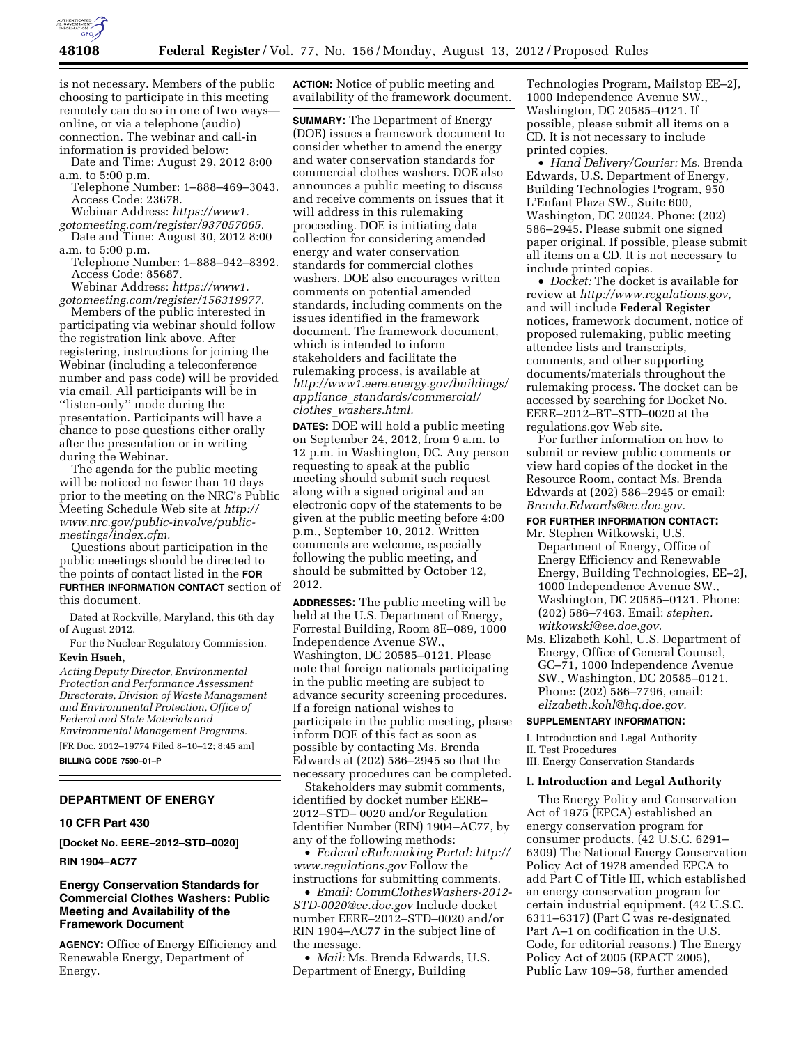

is not necessary. Members of the public choosing to participate in this meeting remotely can do so in one of two ways online, or via a telephone (audio) connection. The webinar and call-in information is provided below:

Date and Time: August 29, 2012 8:00 a.m. to 5:00 p.m.

Telephone Number: 1–888–469–3043. Access Code: 23678.

Webinar Address: *[https://www1.](https://www1.gotomeeting.com/register/937057065)*

*[gotomeeting.com/register/937057065.](https://www1.gotomeeting.com/register/937057065)*  Date and Time: August 30, 2012 8:00

a.m. to 5:00 p.m.

Telephone Number: 1–888–942–8392. Access Code: 85687.

Webinar Address: *[https://www1.](https://www1.gotomeeting.com/register/156319977) [gotomeeting.com/register/156319977.](https://www1.gotomeeting.com/register/156319977)* 

Members of the public interested in participating via webinar should follow the registration link above. After registering, instructions for joining the Webinar (including a teleconference number and pass code) will be provided via email. All participants will be in ''listen-only'' mode during the presentation. Participants will have a chance to pose questions either orally after the presentation or in writing during the Webinar.

The agenda for the public meeting will be noticed no fewer than 10 days prior to the meeting on the NRC's Public Meeting Schedule Web site at *[http://](http://www.nrc.gov/public-involve/public-meetings/index.cfm) [www.nrc.gov/public-involve/public](http://www.nrc.gov/public-involve/public-meetings/index.cfm)[meetings/index.cfm.](http://www.nrc.gov/public-involve/public-meetings/index.cfm)* 

Questions about participation in the public meetings should be directed to the points of contact listed in the **FOR FURTHER INFORMATION CONTACT** section of this document.

Dated at Rockville, Maryland, this 6th day of August 2012.

For the Nuclear Regulatory Commission. **Kevin Hsueh,** 

*Acting Deputy Director, Environmental Protection and Performance Assessment Directorate, Division of Waste Management and Environmental Protection, Office of Federal and State Materials and Environmental Management Programs.*  [FR Doc. 2012–19774 Filed 8–10–12; 8:45 am]

**BILLING CODE 7590–01–P** 

### **DEPARTMENT OF ENERGY**

#### **10 CFR Part 430**

**[Docket No. EERE–2012–STD–0020]** 

### **RIN 1904–AC77**

# **Energy Conservation Standards for Commercial Clothes Washers: Public Meeting and Availability of the Framework Document**

**AGENCY:** Office of Energy Efficiency and Renewable Energy, Department of Energy.

**ACTION:** Notice of public meeting and availability of the framework document.

**SUMMARY:** The Department of Energy (DOE) issues a framework document to consider whether to amend the energy and water conservation standards for commercial clothes washers. DOE also announces a public meeting to discuss and receive comments on issues that it will address in this rulemaking proceeding. DOE is initiating data collection for considering amended energy and water conservation standards for commercial clothes washers. DOE also encourages written comments on potential amended standards, including comments on the issues identified in the framework document. The framework document, which is intended to inform stakeholders and facilitate the rulemaking process, is available at *[http://www1.eere.energy.gov/buildings/](http://www1.eere.energy.gov/buildings/appliance_standards/commercial/clothes_washers.html) appliance*\_*[standards/commercial/](http://www1.eere.energy.gov/buildings/appliance_standards/commercial/clothes_washers.html) clothes*\_*[washers.html.](http://www1.eere.energy.gov/buildings/appliance_standards/commercial/clothes_washers.html)* 

**DATES:** DOE will hold a public meeting on September 24, 2012, from 9 a.m. to 12 p.m. in Washington, DC. Any person requesting to speak at the public meeting should submit such request along with a signed original and an electronic copy of the statements to be given at the public meeting before 4:00 p.m., September 10, 2012. Written comments are welcome, especially following the public meeting, and should be submitted by October 12, 2012.

**ADDRESSES:** The public meeting will be held at the U.S. Department of Energy, Forrestal Building, Room 8E–089, 1000 Independence Avenue SW., Washington, DC 20585–0121. Please note that foreign nationals participating in the public meeting are subject to advance security screening procedures. If a foreign national wishes to participate in the public meeting, please inform DOE of this fact as soon as possible by contacting Ms. Brenda Edwards at (202) 586–2945 so that the necessary procedures can be completed.

Stakeholders may submit comments, identified by docket number EERE– 2012–STD– 0020 and/or Regulation Identifier Number (RIN) 1904–AC77, by any of the following methods:

• *Federal eRulemaking Portal: [http://](http://www.regulations.gov)  [www.regulations.gov](http://www.regulations.gov)* Follow the instructions for submitting comments.

• *Email: [CommClothesWashers-2012-](mailto:CommClothesWashers-2012-STD-0020@ee.doe.gov) [STD-0020@ee.doe.gov](mailto:CommClothesWashers-2012-STD-0020@ee.doe.gov)* Include docket number EERE–2012–STD–0020 and/or RIN 1904–AC77 in the subject line of the message.

• *Mail:* Ms. Brenda Edwards, U.S. Department of Energy, Building

Technologies Program, Mailstop EE–2J, 1000 Independence Avenue SW., Washington, DC 20585–0121. If possible, please submit all items on a CD. It is not necessary to include printed copies.

• *Hand Delivery/Courier:* Ms. Brenda Edwards, U.S. Department of Energy, Building Technologies Program, 950 L'Enfant Plaza SW., Suite 600, Washington, DC 20024. Phone: (202) 586–2945. Please submit one signed paper original. If possible, please submit all items on a CD. It is not necessary to include printed copies.

• *Docket:* The docket is available for review at *[http://www.regulations.gov,](http://www.regulations.gov)*  and will include **Federal Register**  notices, framework document, notice of proposed rulemaking, public meeting attendee lists and transcripts, comments, and other supporting documents/materials throughout the rulemaking process. The docket can be accessed by searching for Docket No. EERE–2012–BT–STD–0020 at the regulations.gov Web site.

For further information on how to submit or review public comments or view hard copies of the docket in the Resource Room, contact Ms. Brenda Edwards at (202) 586–2945 or email: *[Brenda.Edwards@ee.doe.gov.](mailto:Brenda.Edwards@ee.doe.gov)* 

**FOR FURTHER INFORMATION CONTACT:**

- Mr. Stephen Witkowski, U.S. Department of Energy, Office of
	- Energy Efficiency and Renewable Energy, Building Technologies, EE–2J, 1000 Independence Avenue SW., Washington, DC 20585–0121. Phone: (202) 586–7463. Email: *[stephen.](mailto:stephen.witkowski@ee.doe.gov) [witkowski@ee.doe.gov.](mailto:stephen.witkowski@ee.doe.gov)*
- Ms. Elizabeth Kohl, U.S. Department of Energy, Office of General Counsel, GC–71, 1000 Independence Avenue SW., Washington, DC 20585–0121. Phone: (202) 586–7796, email: *[elizabeth.kohl@hq.doe.gov.](mailto:elizabeth.kohl@hq.doe.gov)*

# **SUPPLEMENTARY INFORMATION:**

I. Introduction and Legal Authority

II. Test Procedures

III. Energy Conservation Standards

#### **I. Introduction and Legal Authority**

The Energy Policy and Conservation Act of 1975 (EPCA) established an energy conservation program for consumer products. (42 U.S.C. 6291– 6309) The National Energy Conservation Policy Act of 1978 amended EPCA to add Part C of Title III, which established an energy conservation program for certain industrial equipment. (42 U.S.C. 6311–6317) (Part C was re-designated Part A–1 on codification in the U.S. Code, for editorial reasons.) The Energy Policy Act of 2005 (EPACT 2005), Public Law 109–58, further amended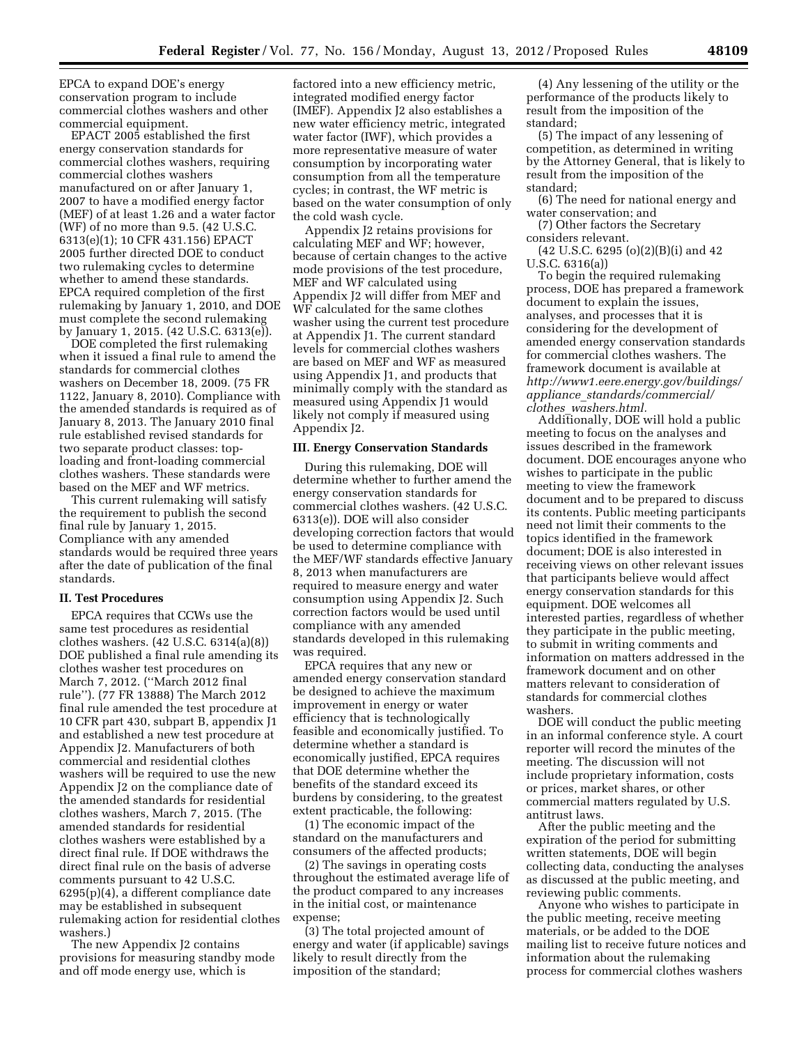EPCA to expand DOE's energy conservation program to include commercial clothes washers and other commercial equipment.

EPACT 2005 established the first energy conservation standards for commercial clothes washers, requiring commercial clothes washers manufactured on or after January 1, 2007 to have a modified energy factor (MEF) of at least 1.26 and a water factor (WF) of no more than 9.5. (42 U.S.C. 6313(e)(1); 10 CFR 431.156) EPACT 2005 further directed DOE to conduct two rulemaking cycles to determine whether to amend these standards. EPCA required completion of the first rulemaking by January 1, 2010, and DOE must complete the second rulemaking by January 1, 2015. (42 U.S.C. 6313(e)).

DOE completed the first rulemaking when it issued a final rule to amend the standards for commercial clothes washers on December 18, 2009. (75 FR 1122, January 8, 2010). Compliance with the amended standards is required as of January 8, 2013. The January 2010 final rule established revised standards for two separate product classes: toploading and front-loading commercial clothes washers. These standards were based on the MEF and WF metrics.

This current rulemaking will satisfy the requirement to publish the second final rule by January 1, 2015. Compliance with any amended standards would be required three years after the date of publication of the final standards.

## **II. Test Procedures**

EPCA requires that CCWs use the same test procedures as residential clothes washers. (42 U.S.C. 6314(a)(8)) DOE published a final rule amending its clothes washer test procedures on March 7, 2012. (''March 2012 final rule''). (77 FR 13888) The March 2012 final rule amended the test procedure at 10 CFR part 430, subpart B, appendix J1 and established a new test procedure at Appendix J2. Manufacturers of both commercial and residential clothes washers will be required to use the new Appendix J2 on the compliance date of the amended standards for residential clothes washers, March 7, 2015. (The amended standards for residential clothes washers were established by a direct final rule. If DOE withdraws the direct final rule on the basis of adverse comments pursuant to 42 U.S.C. 6295(p)(4), a different compliance date may be established in subsequent rulemaking action for residential clothes washers.)

The new Appendix J2 contains provisions for measuring standby mode and off mode energy use, which is

factored into a new efficiency metric, integrated modified energy factor (IMEF). Appendix J2 also establishes a new water efficiency metric, integrated water factor (IWF), which provides a more representative measure of water consumption by incorporating water consumption from all the temperature cycles; in contrast, the WF metric is based on the water consumption of only the cold wash cycle.

Appendix J2 retains provisions for calculating MEF and WF; however, because of certain changes to the active mode provisions of the test procedure, MEF and WF calculated using Appendix J2 will differ from MEF and WF calculated for the same clothes washer using the current test procedure at Appendix J1. The current standard levels for commercial clothes washers are based on MEF and WF as measured using Appendix J1, and products that minimally comply with the standard as measured using Appendix J1 would likely not comply if measured using Appendix J2.

# **III. Energy Conservation Standards**

During this rulemaking, DOE will determine whether to further amend the energy conservation standards for commercial clothes washers. (42 U.S.C. 6313(e)). DOE will also consider developing correction factors that would be used to determine compliance with the MEF/WF standards effective January 8, 2013 when manufacturers are required to measure energy and water consumption using Appendix J2. Such correction factors would be used until compliance with any amended standards developed in this rulemaking was required.

EPCA requires that any new or amended energy conservation standard be designed to achieve the maximum improvement in energy or water efficiency that is technologically feasible and economically justified. To determine whether a standard is economically justified, EPCA requires that DOE determine whether the benefits of the standard exceed its burdens by considering, to the greatest extent practicable, the following:

(1) The economic impact of the standard on the manufacturers and consumers of the affected products;

(2) The savings in operating costs throughout the estimated average life of the product compared to any increases in the initial cost, or maintenance expense;

(3) The total projected amount of energy and water (if applicable) savings likely to result directly from the imposition of the standard;

(4) Any lessening of the utility or the performance of the products likely to result from the imposition of the standard;

(5) The impact of any lessening of competition, as determined in writing by the Attorney General, that is likely to result from the imposition of the standard;

(6) The need for national energy and water conservation; and

(7) Other factors the Secretary considers relevant.

 $(42 \text{ U.S.C. } 6295 \text{ (o)}(2)(B)(i)$  and 42 U.S.C. 6316(a))

To begin the required rulemaking process, DOE has prepared a framework document to explain the issues, analyses, and processes that it is considering for the development of amended energy conservation standards for commercial clothes washers. The framework document is available at *[http://www1.eere.energy.gov/buildings/](http://www1.eere.energy.gov/buildings/appliance_standards/commercial/clothes_washers.html) appliance*\_*[standards/commercial/](http://www1.eere.energy.gov/buildings/appliance_standards/commercial/clothes_washers.html) clothes*\_*[washers.html.](http://www1.eere.energy.gov/buildings/appliance_standards/commercial/clothes_washers.html)* 

Additionally, DOE will hold a public meeting to focus on the analyses and issues described in the framework document. DOE encourages anyone who wishes to participate in the public meeting to view the framework document and to be prepared to discuss its contents. Public meeting participants need not limit their comments to the topics identified in the framework document; DOE is also interested in receiving views on other relevant issues that participants believe would affect energy conservation standards for this equipment. DOE welcomes all interested parties, regardless of whether they participate in the public meeting, to submit in writing comments and information on matters addressed in the framework document and on other matters relevant to consideration of standards for commercial clothes washers.

DOE will conduct the public meeting in an informal conference style. A court reporter will record the minutes of the meeting. The discussion will not include proprietary information, costs or prices, market shares, or other commercial matters regulated by U.S. antitrust laws.

After the public meeting and the expiration of the period for submitting written statements, DOE will begin collecting data, conducting the analyses as discussed at the public meeting, and reviewing public comments.

Anyone who wishes to participate in the public meeting, receive meeting materials, or be added to the DOE mailing list to receive future notices and information about the rulemaking process for commercial clothes washers